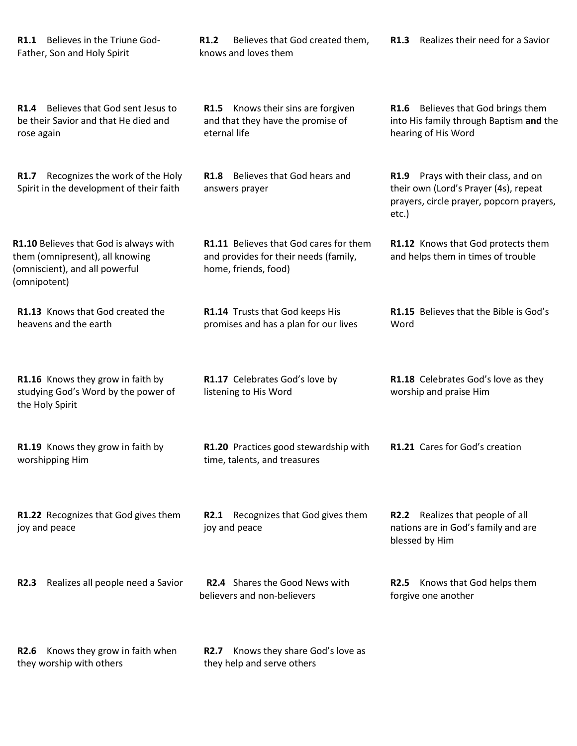| R1.1 Believes in the Triune God-<br>Father, Son and Holy Spirit                                                             | Believes that God created them,<br>R <sub>1.2</sub><br>knows and loves them                             | R1.3 Realizes their need for a Savior                                                                                             |
|-----------------------------------------------------------------------------------------------------------------------------|---------------------------------------------------------------------------------------------------------|-----------------------------------------------------------------------------------------------------------------------------------|
| R1.4 Believes that God sent Jesus to<br>be their Savior and that He died and<br>rose again                                  | R1.5 Knows their sins are forgiven<br>and that they have the promise of<br>eternal life                 | R1.6 Believes that God brings them<br>into His family through Baptism and the<br>hearing of His Word                              |
| Recognizes the work of the Holy<br>R1.7<br>Spirit in the development of their faith                                         | <b>R1.8</b> Believes that God hears and<br>answers prayer                                               | R1.9 Prays with their class, and on<br>their own (Lord's Prayer (4s), repeat<br>prayers, circle prayer, popcorn prayers,<br>etc.) |
| R1.10 Believes that God is always with<br>them (omnipresent), all knowing<br>(omniscient), and all powerful<br>(omnipotent) | R1.11 Believes that God cares for them<br>and provides for their needs (family,<br>home, friends, food) | R1.12 Knows that God protects them<br>and helps them in times of trouble                                                          |
| R1.13 Knows that God created the<br>heavens and the earth                                                                   | R1.14 Trusts that God keeps His<br>promises and has a plan for our lives                                | R1.15 Believes that the Bible is God's<br>Word                                                                                    |
| R1.16 Knows they grow in faith by<br>studying God's Word by the power of<br>the Holy Spirit                                 | R1.17 Celebrates God's love by<br>listening to His Word                                                 | R1.18 Celebrates God's love as they<br>worship and praise Him                                                                     |
| R1.19 Knows they grow in faith by<br>worshipping Him                                                                        | R1.20 Practices good stewardship with<br>time, talents, and treasures                                   | R1.21 Cares for God's creation                                                                                                    |
| R1.22 Recognizes that God gives them<br>joy and peace                                                                       | R2.1 Recognizes that God gives them<br>joy and peace                                                    | R2.2 Realizes that people of all<br>nations are in God's family and are<br>blessed by Him                                         |
| Realizes all people need a Savior<br><b>R2.3</b>                                                                            | R2.4 Shares the Good News with<br>believers and non-believers                                           | Knows that God helps them<br><b>R2.5</b><br>forgive one another                                                                   |
| Knows they grow in faith when<br><b>R2.6</b><br>they worship with others                                                    | Knows they share God's love as<br><b>R2.7</b><br>they help and serve others                             |                                                                                                                                   |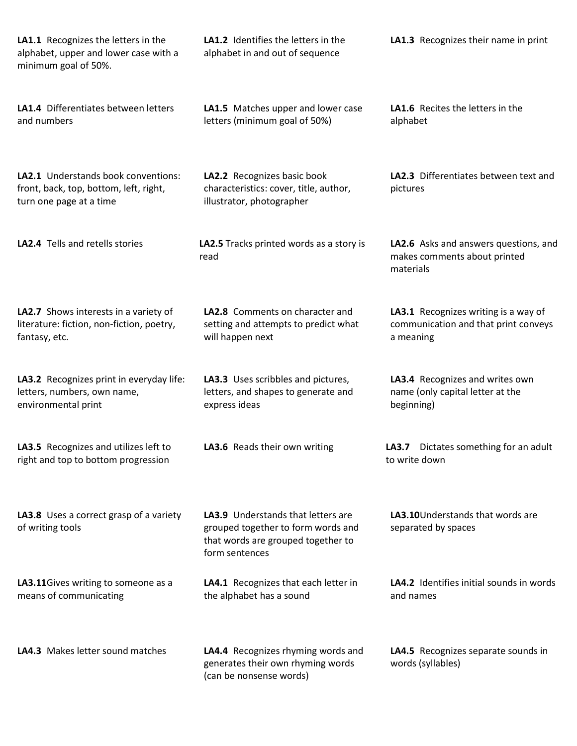| LA1.1 Recognizes the letters in the<br>alphabet, upper and lower case with a<br>minimum goal of 50%.     | <b>LA1.2</b> Identifies the letters in the<br>alphabet in and out of sequence                                                           | LA1.3 Recognizes their name in print                                                      |
|----------------------------------------------------------------------------------------------------------|-----------------------------------------------------------------------------------------------------------------------------------------|-------------------------------------------------------------------------------------------|
| LA1.4 Differentiates between letters<br>and numbers                                                      | LA1.5 Matches upper and lower case<br>letters (minimum goal of 50%)                                                                     | LA1.6 Recites the letters in the<br>alphabet                                              |
| LA2.1 Understands book conventions:<br>front, back, top, bottom, left, right,<br>turn one page at a time | LA2.2 Recognizes basic book<br>characteristics: cover, title, author,<br>illustrator, photographer                                      | LA2.3 Differentiates between text and<br>pictures                                         |
| <b>LA2.4</b> Tells and retells stories                                                                   | LA2.5 Tracks printed words as a story is<br>read                                                                                        | LA2.6 Asks and answers questions, and<br>makes comments about printed<br>materials        |
| LA2.7 Shows interests in a variety of<br>literature: fiction, non-fiction, poetry,<br>fantasy, etc.      | LA2.8 Comments on character and<br>setting and attempts to predict what<br>will happen next                                             | LA3.1 Recognizes writing is a way of<br>communication and that print conveys<br>a meaning |
| LA3.2 Recognizes print in everyday life:<br>letters, numbers, own name,<br>environmental print           | LA3.3 Uses scribbles and pictures,<br>letters, and shapes to generate and<br>express ideas                                              | LA3.4 Recognizes and writes own<br>name (only capital letter at the<br>beginning)         |
| LA3.5 Recognizes and utilizes left to<br>right and top to bottom progression                             | LA3.6 Reads their own writing                                                                                                           | Dictates something for an adult<br>LA3.7<br>to write down                                 |
| LA3.8 Uses a correct grasp of a variety<br>of writing tools                                              | <b>LA3.9</b> Understands that letters are<br>grouped together to form words and<br>that words are grouped together to<br>form sentences | LA3.10 Understands that words are<br>separated by spaces                                  |
| LA3.11Gives writing to someone as a<br>means of communicating                                            | LA4.1 Recognizes that each letter in<br>the alphabet has a sound                                                                        | LA4.2 Identifies initial sounds in words<br>and names                                     |
| LA4.3 Makes letter sound matches                                                                         | LA4.4 Recognizes rhyming words and<br>generates their own rhyming words<br>(can be nonsense words)                                      | LA4.5 Recognizes separate sounds in<br>words (syllables)                                  |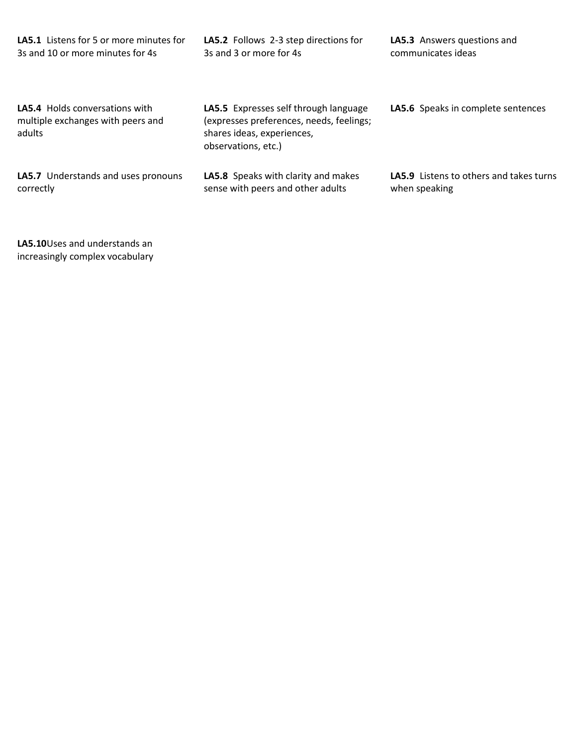| <b>LA5.1</b> Listens for 5 or more minutes for                                       | LA5.2 Follows 2-3 step directions for                                                                                                  | <b>LA5.3</b> Answers questions and      |
|--------------------------------------------------------------------------------------|----------------------------------------------------------------------------------------------------------------------------------------|-----------------------------------------|
| 3s and 10 or more minutes for 4s                                                     | 3s and 3 or more for 4s                                                                                                                | communicates ideas                      |
| <b>LA5.4</b> Holds conversations with<br>multiple exchanges with peers and<br>adults | LA5.5 Expresses self through language<br>(expresses preferences, needs, feelings;<br>shares ideas, experiences,<br>observations, etc.) | LA5.6 Speaks in complete sentences      |
| LA5.7 Understands and uses pronouns                                                  | <b>LA5.8</b> Speaks with clarity and makes                                                                                             | LA5.9 Listens to others and takes turns |
| correctly                                                                            | sense with peers and other adults                                                                                                      | when speaking                           |

**LA5.10**Uses and understands an increasingly complex vocabulary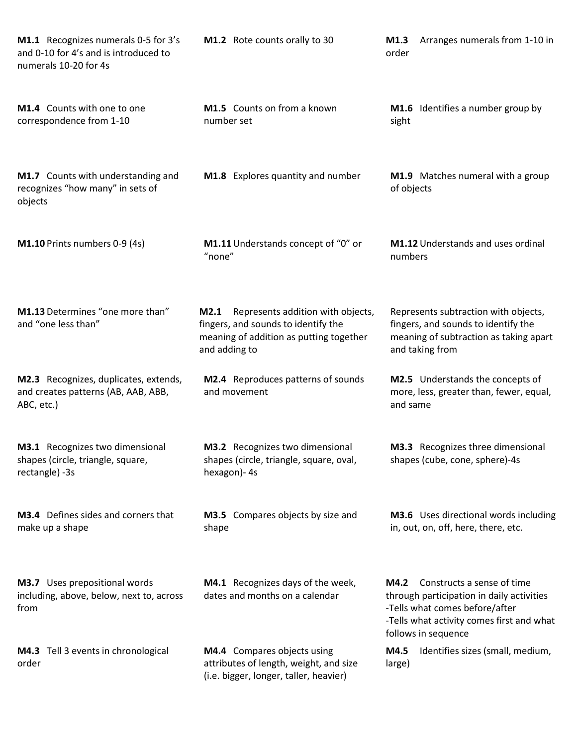| M1.1 Recognizes numerals 0-5 for 3's<br>and 0-10 for 4's and is introduced to<br>numerals 10-20 for 4s | M1.2 Rote counts orally to 30                                                                                                                | Arranges numerals from 1-10 in<br>M1.3<br>order                                                                                                                                           |
|--------------------------------------------------------------------------------------------------------|----------------------------------------------------------------------------------------------------------------------------------------------|-------------------------------------------------------------------------------------------------------------------------------------------------------------------------------------------|
| M1.4 Counts with one to one<br>correspondence from 1-10                                                | M1.5 Counts on from a known<br>number set                                                                                                    | M1.6 Identifies a number group by<br>sight                                                                                                                                                |
| M1.7 Counts with understanding and<br>recognizes "how many" in sets of<br>objects                      | M1.8 Explores quantity and number                                                                                                            | M1.9 Matches numeral with a group<br>of objects                                                                                                                                           |
| M1.10 Prints numbers 0-9 (4s)                                                                          | M1.11 Understands concept of "0" or<br>"none"                                                                                                | <b>M1.12</b> Understands and uses ordinal<br>numbers                                                                                                                                      |
| M1.13 Determines "one more than"<br>and "one less than"                                                | Represents addition with objects,<br>M2.1<br>fingers, and sounds to identify the<br>meaning of addition as putting together<br>and adding to | Represents subtraction with objects,<br>fingers, and sounds to identify the<br>meaning of subtraction as taking apart<br>and taking from                                                  |
| M2.3 Recognizes, duplicates, extends,<br>and creates patterns (AB, AAB, ABB,<br>ABC, etc.)             | M2.4 Reproduces patterns of sounds<br>and movement                                                                                           | M2.5 Understands the concepts of<br>more, less, greater than, fewer, equal,<br>and same                                                                                                   |
| M3.1 Recognizes two dimensional<br>shapes (circle, triangle, square,<br>rectangle) -3s                 | M3.2 Recognizes two dimensional<br>shapes (circle, triangle, square, oval,<br>hexagon) - 4s                                                  | M3.3 Recognizes three dimensional<br>shapes (cube, cone, sphere)-4s                                                                                                                       |
| M3.4 Defines sides and corners that<br>make up a shape                                                 | M3.5 Compares objects by size and<br>shape                                                                                                   | M3.6 Uses directional words including<br>in, out, on, off, here, there, etc.                                                                                                              |
| M3.7 Uses prepositional words<br>including, above, below, next to, across<br>from                      | M4.1 Recognizes days of the week,<br>dates and months on a calendar                                                                          | <b>M4.2</b> Constructs a sense of time<br>through participation in daily activities<br>-Tells what comes before/after<br>-Tells what activity comes first and what<br>follows in sequence |
| M4.3 Tell 3 events in chronological<br>order                                                           | M4.4 Compares objects using<br>attributes of length, weight, and size<br>(i.e. bigger, longer, taller, heavier)                              | Identifies sizes (small, medium,<br>M4.5<br>large)                                                                                                                                        |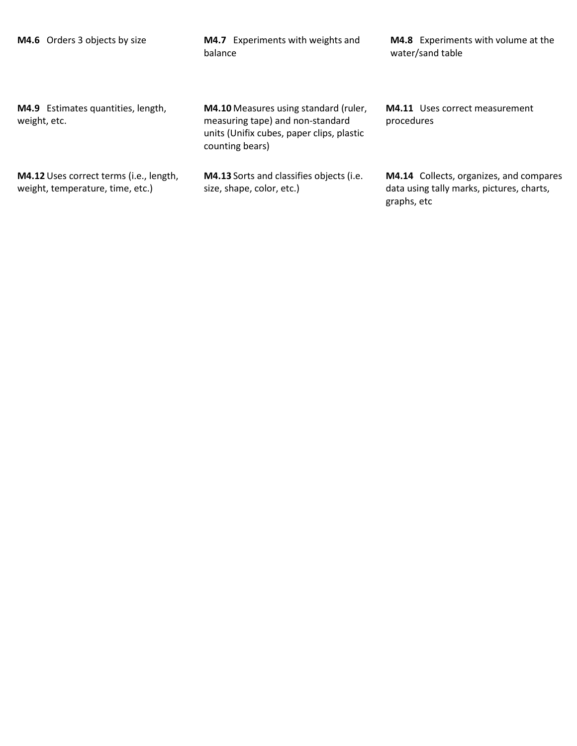| M4.6 Orders 3 objects by size                                               | M4.7 Experiments with weights and<br>balance                                                                                                     | M4.8 Experiments with volume at the<br>water/sand table                                             |
|-----------------------------------------------------------------------------|--------------------------------------------------------------------------------------------------------------------------------------------------|-----------------------------------------------------------------------------------------------------|
| M4.9 Estimates quantities, length,<br>weight, etc.                          | <b>M4.10</b> Measures using standard (ruler,<br>measuring tape) and non-standard<br>units (Unifix cubes, paper clips, plastic<br>counting bears) | <b>M4.11</b> Uses correct measurement<br>procedures                                                 |
| M4.12 Uses correct terms (i.e., length,<br>weight, temperature, time, etc.) | <b>M4.13</b> Sorts and classifies objects (i.e.<br>size, shape, color, etc.)                                                                     | M4.14 Collects, organizes, and compares<br>data using tally marks, pictures, charts,<br>graphs, etc |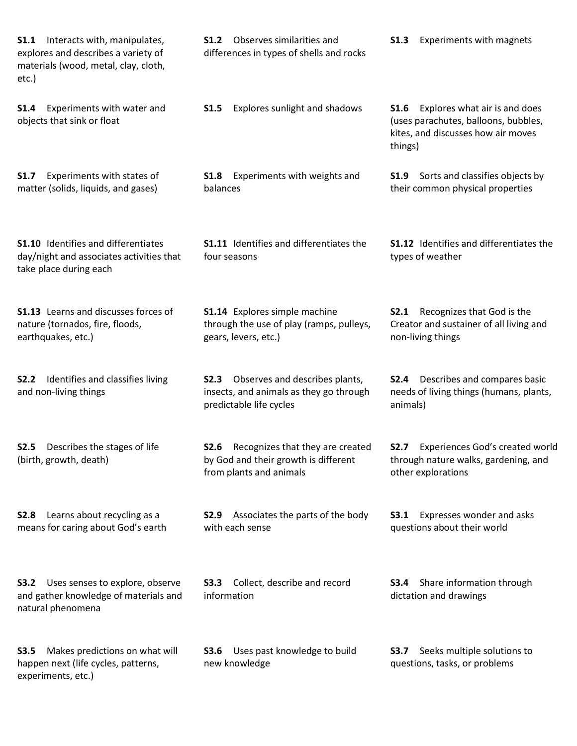**S1.1** Interacts with, manipulates, explores and describes a variety of materials (wood, metal, clay, cloth, etc.) **S1.2** Observes similarities and differences in types of shells and rocks **S1.3** Experiments with magnets **S1.4** Experiments with water and objects that sink or float **S1.5** Explores sunlight and shadows **S1.6** Explores what air is and does (uses parachutes, balloons, bubbles, kites, and discusses how air moves things) **S1.7** Experiments with states of matter (solids, liquids, and gases) **S1.8** Experiments with weights and balances **S1.9** Sorts and classifies objects by their common physical properties **S1.10** Identifies and differentiates day/night and associates activities that take place during each **S1.11** Identifies and differentiates the four seasons **S1.12** Identifies and differentiates the types of weather **S1.13** Learns and discusses forces of nature (tornados, fire, floods, earthquakes, etc.) **S1.14** Explores simple machine through the use of play (ramps, pulleys, gears, levers, etc.) **S2.1** Recognizes that God is the Creator and sustainer of all living and non-living things **S2.2** Identifies and classifies living and non-living things **S2.3** Observes and describes plants, insects, and animals as they go through predictable life cycles **S2.4** Describes and compares basic needs of living things (humans, plants, animals) **S2.5** Describes the stages of life (birth, growth, death) **S2.6** Recognizes that they are created by God and their growth is different from plants and animals **S2.7** Experiences God's created world through nature walks, gardening, and other explorations **S2.8** Learns about recycling as a means for caring about God's earth **S2.9** Associates the parts of the body with each sense **S3.1** Expresses wonder and asks questions about their world **S3.2** Uses senses to explore, observe and gather knowledge of materials and natural phenomena **S3.3** Collect, describe and record information **S3.4** Share information through dictation and drawings **S3.5** Makes predictions on what will happen next (life cycles, patterns, experiments, etc.) **S3.6** Uses past knowledge to build new knowledge **S3.7** Seeks multiple solutions to questions, tasks, or problems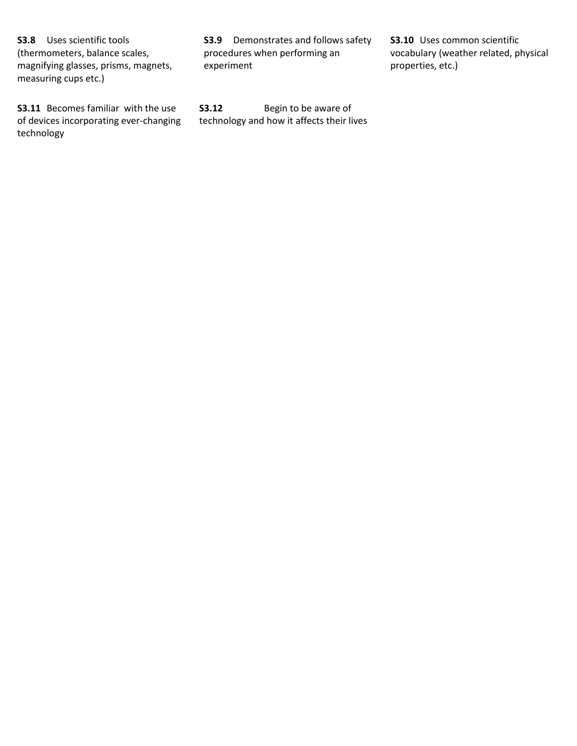**S3.8** Uses scientific tools (thermometers, balance scales, magnifying glasses, prisms, magnets, measuring cups etc.)

**S3.11** Becomes familiar with the use of devices incorporating ever-changing technology

**S3.9** Demonstrates and follows safety procedures when performing an experiment

**S3.12** Begin to be aware of technology and how it affects their lives **S3.10** Uses common scientific vocabulary (weather related, physical properties, etc.)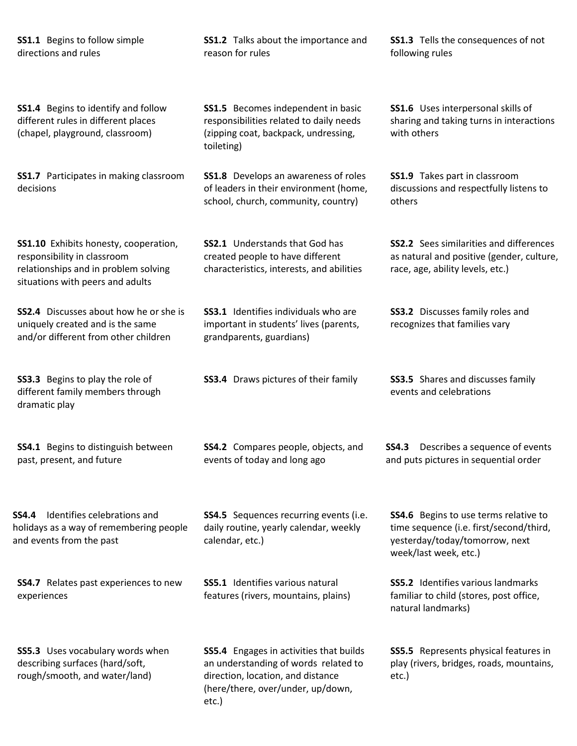## **SS1.1** Begins to follow simple directions and rules

**SS1.4** Begins to identify and follow different rules in different places (chapel, playground, classroom)

**SS1.7** Participates in making classroom decisions

**SS1.10** Exhibits honesty, cooperation, responsibility in classroom relationships and in problem solving situations with peers and adults

**SS2.4** Discusses about how he or she is uniquely created and is the same and/or different from other children

**SS3.3** Begins to play the role of different family members through dramatic play

**SS4.1** Begins to distinguish between past, present, and future

**SS4.4** Identifies celebrations and holidays as a way of remembering people and events from the past

**SS4.7** Relates past experiences to new experiences

**SS5.3** Uses vocabulary words when describing surfaces (hard/soft, rough/smooth, and water/land)

**SS1.2** Talks about the importance and reason for rules

**SS1.5** Becomes independent in basic responsibilities related to daily needs (zipping coat, backpack, undressing, toileting)

**SS1.8** Develops an awareness of roles of leaders in their environment (home, school, church, community, country)

**SS2.1** Understands that God has created people to have different characteristics, interests, and abilities

**SS3.1** Identifies individuals who are important in students' lives (parents, grandparents, guardians)

**SS3.4** Draws pictures of their family **SS3.5** Shares and discusses family

**SS4.2** Compares people, objects, and events of today and long ago

**SS4.5** Sequences recurring events (i.e. daily routine, yearly calendar, weekly calendar, etc.)

**SS5.1** Identifies various natural features (rivers, mountains, plains)

**SS5.4** Engages in activities that builds an understanding of words related to direction, location, and distance (here/there, over/under, up/down, etc.)

**SS1.3** Tells the consequences of not following rules

**SS1.6** Uses interpersonal skills of sharing and taking turns in interactions with others

**SS1.9** Takes part in classroom discussions and respectfully listens to others

**SS2.2** Sees similarities and differences as natural and positive (gender, culture, race, age, ability levels, etc.)

**SS3.2** Discusses family roles and recognizes that families vary

events and celebrations

**SS4.3** Describes a sequence of events and puts pictures in sequential order

**SS4.6** Begins to use terms relative to time sequence (i.e. first/second/third, yesterday/today/tomorrow, next week/last week, etc.)

**SS5.2** Identifies various landmarks familiar to child (stores, post office, natural landmarks)

**SS5.5** Represents physical features in play (rivers, bridges, roads, mountains, etc.)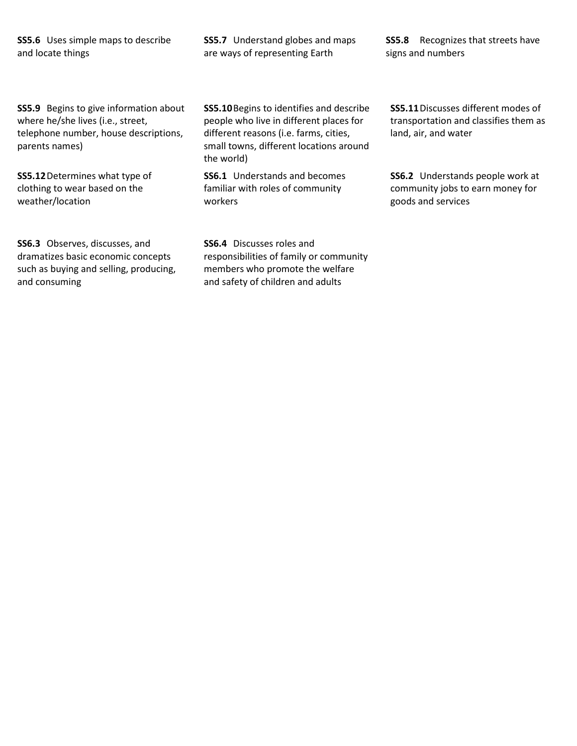**SS5.6** Uses simple maps to describe and locate things

**SS5.7** Understand globes and maps are ways of representing Earth

**SS5.8** Recognizes that streets have signs and numbers

**SS5.9** Begins to give information about where he/she lives (i.e., street, telephone number, house descriptions, parents names)

**SS5.12**Determines what type of clothing to wear based on the weather/location

**SS6.3** Observes, discusses, and dramatizes basic economic concepts such as buying and selling, producing, and consuming

**SS5.10**Begins to identifies and describe people who live in different places for different reasons (i.e. farms, cities, small towns, different locations around the world)

**SS6.1** Understands and becomes familiar with roles of community workers

**SS6.4** Discusses roles and responsibilities of family or community members who promote the welfare and safety of children and adults

**SS5.11**Discusses different modes of transportation and classifies them as land, air, and water

**SS6.2** Understands people work at community jobs to earn money for goods and services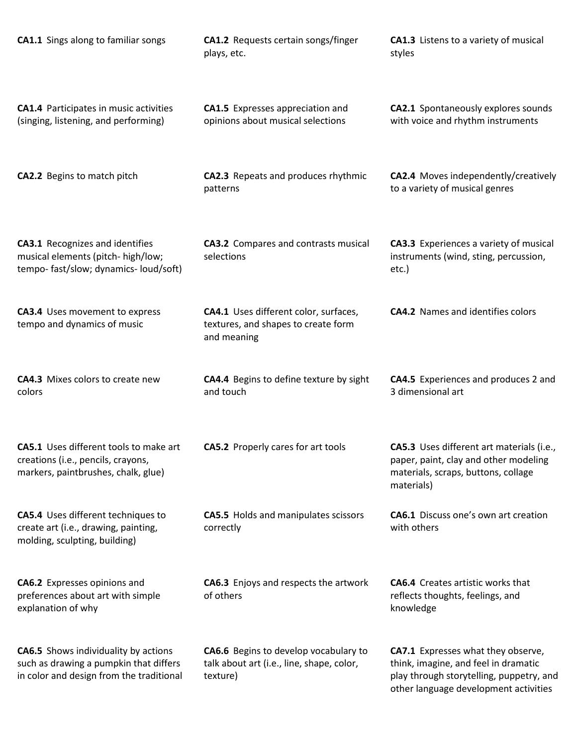| <b>CA1.1</b> Sings along to familiar songs                                                                                        | CA1.2 Requests certain songs/finger<br>plays, etc.                                             | <b>CA1.3</b> Listens to a variety of musical<br>styles                                                                                                          |
|-----------------------------------------------------------------------------------------------------------------------------------|------------------------------------------------------------------------------------------------|-----------------------------------------------------------------------------------------------------------------------------------------------------------------|
| <b>CA1.4</b> Participates in music activities<br>(singing, listening, and performing)                                             | <b>CA1.5</b> Expresses appreciation and<br>opinions about musical selections                   | CA2.1 Spontaneously explores sounds<br>with voice and rhythm instruments                                                                                        |
| <b>CA2.2</b> Begins to match pitch                                                                                                | CA2.3 Repeats and produces rhythmic<br>patterns                                                | CA2.4 Moves independently/creatively<br>to a variety of musical genres                                                                                          |
| <b>CA3.1</b> Recognizes and identifies<br>musical elements (pitch- high/low;<br>tempo-fast/slow; dynamics-loud/soft)              | <b>CA3.2</b> Compares and contrasts musical<br>selections                                      | CA3.3 Experiences a variety of musical<br>instruments (wind, sting, percussion,<br>etc.)                                                                        |
| <b>CA3.4</b> Uses movement to express<br>tempo and dynamics of music                                                              | CA4.1 Uses different color, surfaces,<br>textures, and shapes to create form<br>and meaning    | <b>CA4.2</b> Names and identifies colors                                                                                                                        |
| <b>CA4.3</b> Mixes colors to create new<br>colors                                                                                 | CA4.4 Begins to define texture by sight<br>and touch                                           | <b>CA4.5</b> Experiences and produces 2 and<br>3 dimensional art                                                                                                |
| <b>CA5.1</b> Uses different tools to make art<br>creations (i.e., pencils, crayons,<br>markers, paintbrushes, chalk, glue)        | <b>CA5.2</b> Properly cares for art tools                                                      | CA5.3 Uses different art materials (i.e.,<br>paper, paint, clay and other modeling<br>materials, scraps, buttons, collage<br>materials)                         |
| <b>CA5.4</b> Uses different techniques to<br>create art (i.e., drawing, painting,<br>molding, sculpting, building)                | CA5.5 Holds and manipulates scissors<br>correctly                                              | <b>CA6.1</b> Discuss one's own art creation<br>with others                                                                                                      |
| <b>CA6.2</b> Expresses opinions and<br>preferences about art with simple<br>explanation of why                                    | <b>CA6.3</b> Enjoys and respects the artwork<br>of others                                      | <b>CA6.4</b> Creates artistic works that<br>reflects thoughts, feelings, and<br>knowledge                                                                       |
| <b>CA6.5</b> Shows individuality by actions<br>such as drawing a pumpkin that differs<br>in color and design from the traditional | CA6.6 Begins to develop vocabulary to<br>talk about art (i.e., line, shape, color,<br>texture) | CA7.1 Expresses what they observe,<br>think, imagine, and feel in dramatic<br>play through storytelling, puppetry, and<br>other language development activities |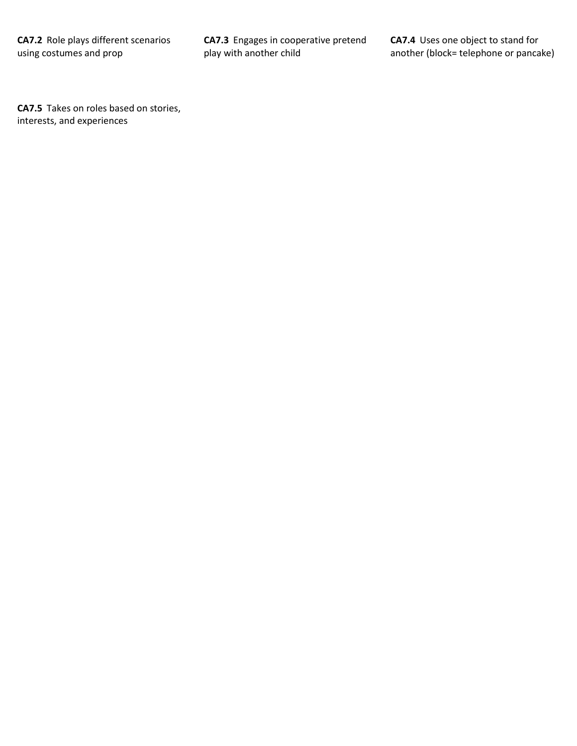**CA7.3** Engages in cooperative pretend play with another child

**CA7.4** Uses one object to stand for another (block= telephone or pancake)

**CA7.5** Takes on roles based on stories, interests, and experiences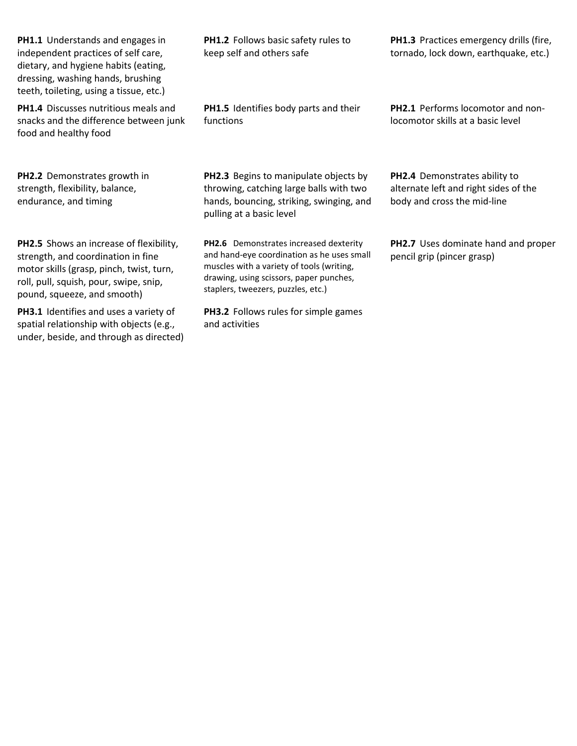**PH1.1** Understands and engages in independent practices of self care, dietary, and hygiene habits (eating, dressing, washing hands, brushing teeth, toileting, using a tissue, etc.)

**PH1.4** Discusses nutritious meals and snacks and the difference between junk food and healthy food

**PH2.2** Demonstrates growth in strength, flexibility, balance, endurance, and timing

**PH2.5** Shows an increase of flexibility, strength, and coordination in fine motor skills (grasp, pinch, twist, turn, roll, pull, squish, pour, swipe, snip, pound, squeeze, and smooth)

**PH3.1** Identifies and uses a variety of spatial relationship with objects (e.g., under, beside, and through as directed) **PH1.2** Follows basic safety rules to keep self and others safe

**PH1.5** Identifies body parts and their functions

**PH2.3** Begins to manipulate objects by throwing, catching large balls with two hands, bouncing, striking, swinging, and pulling at a basic level

**PH2.6** Demonstrates increased dexterity and hand-eye coordination as he uses small muscles with a variety of tools (writing, drawing, using scissors, paper punches, staplers, tweezers, puzzles, etc.)

**PH3.2** Follows rules for simple games and activities

**PH1.3** Practices emergency drills (fire, tornado, lock down, earthquake, etc.)

**PH2.1** Performs locomotor and nonlocomotor skills at a basic level

**PH2.4** Demonstrates ability to alternate left and right sides of the body and cross the mid-line

**PH2.7** Uses dominate hand and proper pencil grip (pincer grasp)